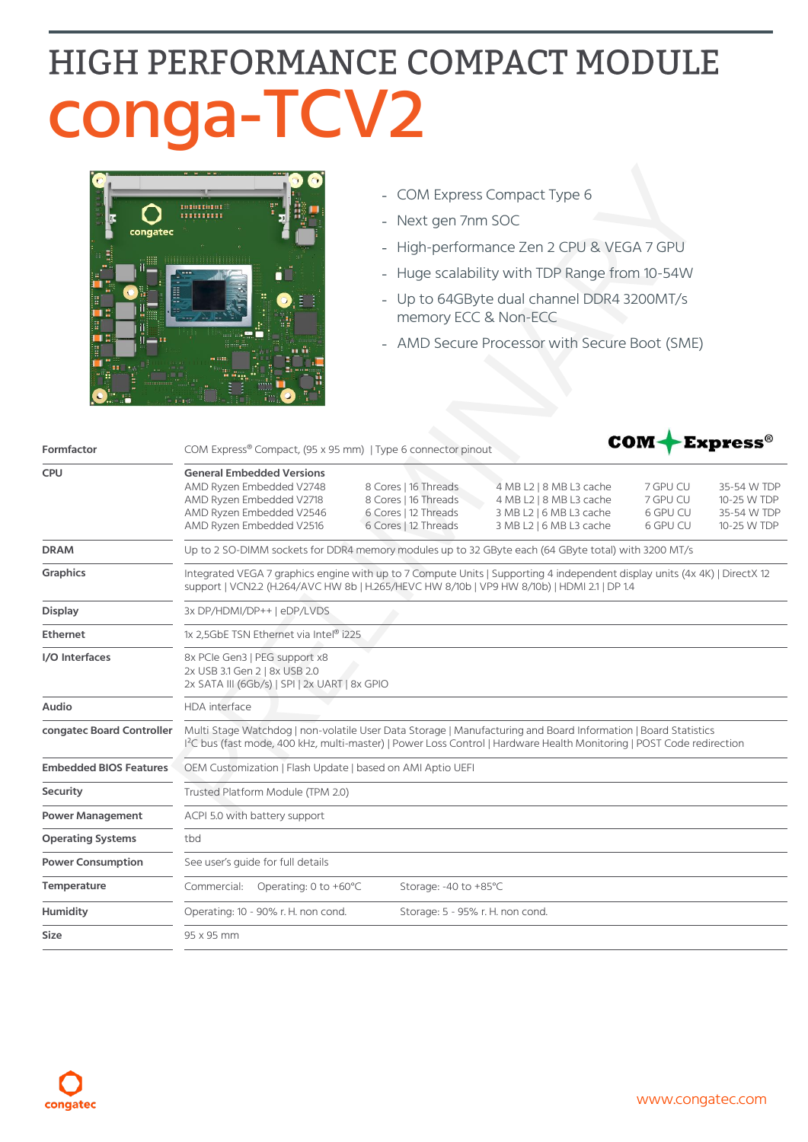## HIGH PERFORMANCE COMPACT MODULE conga-TCV2



- COM Express Compact Type 6
- Next gen 7nm SOC  $\overline{a}$
- High-performance Zen 2 CPU & VEGA 7 GPU  $\overline{a}$
- Huge scalability with TDP Range from 10-54W  $\overline{a}$
- Up to 64GByte dual channel DDR4 3200MT/s memory ECC & Non-ECC
- AMD Secure Processor with Secure Boot (SME)

| Formfactor                    | COM-<br>COM Express® Compact, (95 x 95 mm)   Type 6 connector pinout                                                                                                                                                                               |                                                                                              |                                                                                                          |                                              | $\blacktriangleright$ Express $^\circ$                   |  |
|-------------------------------|----------------------------------------------------------------------------------------------------------------------------------------------------------------------------------------------------------------------------------------------------|----------------------------------------------------------------------------------------------|----------------------------------------------------------------------------------------------------------|----------------------------------------------|----------------------------------------------------------|--|
| <b>CPU</b>                    | <b>General Embedded Versions</b><br>AMD Ryzen Embedded V2748<br>AMD Ryzen Embedded V2718<br>AMD Ryzen Embedded V2546<br>AMD Ryzen Embedded V2516                                                                                                   | 8 Cores   16 Threads<br>8 Cores   16 Threads<br>6 Cores   12 Threads<br>6 Cores   12 Threads | 4 MB L2   8 MB L3 cache<br>4 MB L2   8 MB L3 cache<br>3 MB L2   6 MB L3 cache<br>3 MB L2   6 MB L3 cache | 7 GPU CU<br>7 GPU CU<br>6 GPU CU<br>6 GPU CU | 35-54 W TDP<br>10-25 W TDP<br>35-54 W TDP<br>10-25 W TDP |  |
| <b>DRAM</b>                   | Up to 2 SO-DIMM sockets for DDR4 memory modules up to 32 GByte each (64 GByte total) with 3200 MT/s                                                                                                                                                |                                                                                              |                                                                                                          |                                              |                                                          |  |
| <b>Graphics</b>               | Integrated VEGA 7 graphics engine with up to 7 Compute Units   Supporting 4 independent display units (4x 4K)   DirectX 12<br>support   VCN2.2 (H.264/AVC HW 8b   H.265/HEVC HW 8/10b   VP9 HW 8/10b)   HDMI 2.1   DP 1.4                          |                                                                                              |                                                                                                          |                                              |                                                          |  |
| <b>Display</b>                | 3x DP/HDMI/DP++   eDP/LVDS                                                                                                                                                                                                                         |                                                                                              |                                                                                                          |                                              |                                                          |  |
| <b>Ethernet</b>               | 1x 2,5GbE TSN Ethernet via Intel® i225                                                                                                                                                                                                             |                                                                                              |                                                                                                          |                                              |                                                          |  |
| I/O Interfaces                | 8x PCle Gen3   PEG support x8<br>2x USB 3.1 Gen 2   8x USB 2.0<br>2x SATA III (6Gb/s)   SPI   2x UART   8x GPIO                                                                                                                                    |                                                                                              |                                                                                                          |                                              |                                                          |  |
| Audio                         | HDA interface                                                                                                                                                                                                                                      |                                                                                              |                                                                                                          |                                              |                                                          |  |
| congatec Board Controller     | Multi Stage Watchdog   non-volatile User Data Storage   Manufacturing and Board Information   Board Statistics<br><sup>12</sup> C bus (fast mode, 400 kHz, multi-master)   Power Loss Control   Hardware Health Monitoring   POST Code redirection |                                                                                              |                                                                                                          |                                              |                                                          |  |
| <b>Embedded BIOS Features</b> | OEM Customization   Flash Update   based on AMI Aptio UEFI                                                                                                                                                                                         |                                                                                              |                                                                                                          |                                              |                                                          |  |
| Security                      | Trusted Platform Module (TPM 2.0)                                                                                                                                                                                                                  |                                                                                              |                                                                                                          |                                              |                                                          |  |
| <b>Power Management</b>       | ACPI 5.0 with battery support                                                                                                                                                                                                                      |                                                                                              |                                                                                                          |                                              |                                                          |  |
| <b>Operating Systems</b>      | tbd                                                                                                                                                                                                                                                |                                                                                              |                                                                                                          |                                              |                                                          |  |
| <b>Power Consumption</b>      | See user's guide for full details                                                                                                                                                                                                                  |                                                                                              |                                                                                                          |                                              |                                                          |  |
| Temperature                   | Operating: 0 to +60°C<br>Commercial:                                                                                                                                                                                                               | Storage: -40 to +85°C                                                                        |                                                                                                          |                                              |                                                          |  |
| Humidity                      | Operating: 10 - 90% r. H. non cond.                                                                                                                                                                                                                | Storage: 5 - 95% r. H. non cond.                                                             |                                                                                                          |                                              |                                                          |  |
| <b>Size</b>                   | 95 x 95 mm                                                                                                                                                                                                                                         |                                                                                              |                                                                                                          |                                              |                                                          |  |
|                               |                                                                                                                                                                                                                                                    |                                                                                              |                                                                                                          |                                              |                                                          |  |